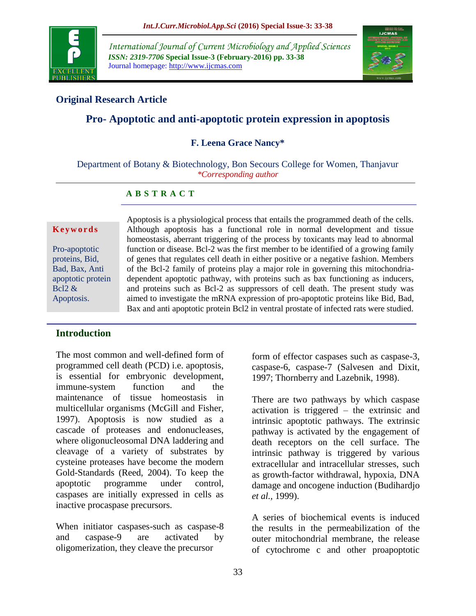

*International Journal of Current Microbiology and Applied Sciences ISSN: 2319-7706* **Special Issue-3 (February-2016) pp. 33-38** Journal homepage: http://www.ijcmas.com



## **Original Research Article**

# **Pro- Apoptotic and anti-apoptotic protein expression in apoptosis**

### **F. Leena Grace Nancy\***

Department of Botany & Biotechnology, Bon Secours College for Women, Thanjavur *\*Corresponding author*

#### **A B S T R A C T**

#### **K e y w o r d s**

Pro-apoptotic proteins, Bid, Bad, Bax, Anti apoptotic protein Bcl2  $\&$ Apoptosis.

Apoptosis is a physiological process that entails the programmed death of the cells. Although apoptosis has a functional role in normal development and tissue homeostasis, aberrant triggering of the process by toxicants may lead to abnormal function or disease. Bcl-2 was the first member to be identified of a growing family of genes that regulates cell death in either positive or a negative fashion. Members of the Bcl-2 family of proteins play a major role in governing this mitochondriadependent apoptotic pathway, with proteins such as bax functioning as inducers, and proteins such as Bcl-2 as suppressors of cell death. The present study was aimed to investigate the mRNA expression of pro-apoptotic proteins like Bid, Bad, Bax and anti apoptotic protein Bcl2 in ventral prostate of infected rats were studied.

### **Introduction**

The most common and well-defined form of programmed cell death (PCD) i.e. apoptosis, is essential for embryonic development, immune-system function and the maintenance of tissue homeostasis in multicellular organisms (McGill and Fisher, 1997). Apoptosis is now studied as a cascade of proteases and endonucleases, where oligonucleosomal DNA laddering and cleavage of a variety of substrates by cysteine proteases have become the modern Gold-Standards (Reed, 2004). To keep the apoptotic programme under control, caspases are initially expressed in cells as inactive procaspase precursors.

When initiator caspases-such as caspase-8 and caspase-9 are activated by oligomerization, they cleave the precursor

form of effector caspases such as caspase-3, caspase-6, caspase-7 (Salvesen and Dixit, 1997; Thornberry and Lazebnik, 1998).

There are two pathways by which caspase activation is triggered – the extrinsic and intrinsic apoptotic pathways. The extrinsic pathway is activated by the engagement of death receptors on the cell surface. The intrinsic pathway is triggered by various extracellular and intracellular stresses, such as growth-factor withdrawal, hypoxia, DNA damage and oncogene induction (Budihardjo *et al.,* 1999).

A series of biochemical events is induced the results in the permeabilization of the outer mitochondrial membrane, the release of cytochrome c and other proapoptotic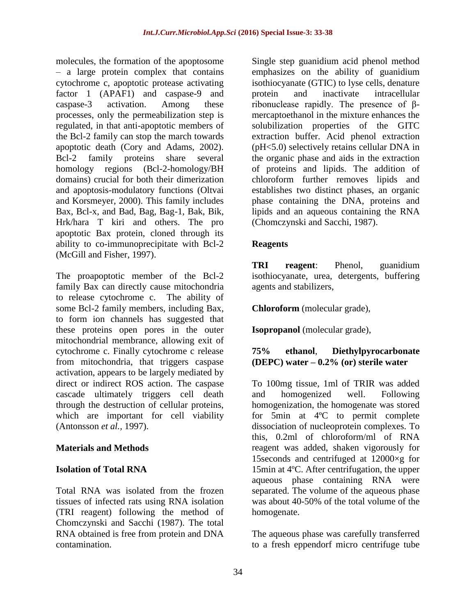molecules, the formation of the apoptosome – a large protein complex that contains cytochrome c, apoptotic protease activating factor 1 (APAF1) and caspase-9 and caspase-3 activation. Among these processes, only the permeabilization step is regulated, in that anti-apoptotic members of the Bcl-2 family can stop the march towards apoptotic death (Cory and Adams, 2002). Bcl-2 family proteins share several homology regions (Bcl-2-homology/BH domains) crucial for both their dimerization and apoptosis-modulatory functions (Oltvai and Korsmeyer, 2000). This family includes Bax, Bcl-x, and Bad, Bag, Bag-1, Bak, Bik, Hrk/hara T kiri and others. The pro apoptotic Bax protein, cloned through its ability to co-immunoprecipitate with Bcl-2 (McGill and Fisher, 1997).

The proapoptotic member of the Bcl-2 family Bax can directly cause mitochondria to release cytochrome c. The ability of some Bcl-2 family members, including Bax, to form ion channels has suggested that these proteins open pores in the outer mitochondrial membrance, allowing exit of cytochrome c. Finally cytochrome c release from mitochondria, that triggers caspase activation, appears to be largely mediated by direct or indirect ROS action. The caspase cascade ultimately triggers cell death through the destruction of cellular proteins, which are important for cell viability (Antonsson *et al.,* 1997).

### **Materials and Methods**

#### **Isolation of Total RNA**

Total RNA was isolated from the frozen tissues of infected rats using RNA isolation (TRI reagent) following the method of Chomczynski and Sacchi (1987). The total RNA obtained is free from protein and DNA contamination.

Single step guanidium acid phenol method emphasizes on the ability of guanidium isothiocyanate (GTIC) to lyse cells, denature protein and inactivate intracellular ribonuclease rapidly. The presence of βmercaptoethanol in the mixture enhances the solubilization properties of the GITC extraction buffer. Acid phenol extraction (pH<5.0) selectively retains cellular DNA in the organic phase and aids in the extraction of proteins and lipids. The addition of chloroform further removes lipids and establishes two distinct phases, an organic phase containing the DNA, proteins and lipids and an aqueous containing the RNA (Chomczynski and Sacchi, 1987).

#### **Reagents**

**TRI reagent**: Phenol, guanidium isothiocyanate, urea, detergents, buffering agents and stabilizers,

**Chloroform** (molecular grade),

**Isopropanol** (molecular grade),

### **75% ethanol**, **Diethylpyrocarbonate (DEPC) water – 0.2% (or) sterile water**

To 100mg tissue, 1ml of TRIR was added and homogenized well. Following homogenization, the homogenate was stored for 5min at 4ºC to permit complete dissociation of nucleoprotein complexes. To this, 0.2ml of chloroform/ml of RNA reagent was added, shaken vigorously for 15seconds and centrifuged at 12000×g for 15min at 4ºC. After centrifugation, the upper aqueous phase containing RNA were separated. The volume of the aqueous phase was about 40-50% of the total volume of the homogenate.

The aqueous phase was carefully transferred to a fresh eppendorf micro centrifuge tube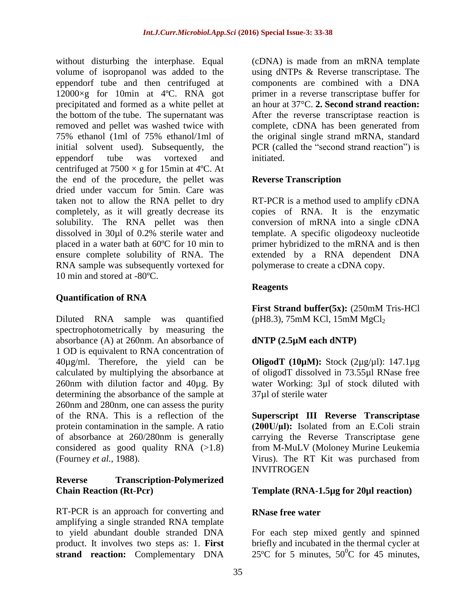without disturbing the interphase. Equal volume of isopropanol was added to the eppendorf tube and then centrifuged at 12000×g for 10min at 4ºC. RNA got precipitated and formed as a white pellet at the bottom of the tube. The supernatant was removed and pellet was washed twice with 75% ethanol (1ml of 75% ethanol/1ml of initial solvent used). Subsequently, the eppendorf tube was vortexed and centrifuged at  $7500 \times g$  for 15min at 4°C. At the end of the procedure, the pellet was dried under vaccum for 5min. Care was taken not to allow the RNA pellet to dry completely, as it will greatly decrease its solubility. The RNA pellet was then dissolved in 30µl of 0.2% sterile water and placed in a water bath at 60ºC for 10 min to ensure complete solubility of RNA. The RNA sample was subsequently vortexed for 10 min and stored at -80ºC.

## **Quantification of RNA**

Diluted RNA sample was quantified spectrophotometrically by measuring the absorbance (A) at 260nm. An absorbance of 1 OD is equivalent to RNA concentration of 40µg/ml. Therefore, the yield can be calculated by multiplying the absorbance at 260nm with dilution factor and 40µg. By determining the absorbance of the sample at 260nm and 280nm, one can assess the purity of the RNA. This is a reflection of the protein contamination in the sample. A ratio of absorbance at 260/280nm is generally considered as good quality RNA (>1.8) (Fourney *et al.,* 1988).

### **Reverse Transcription-Polymerized Chain Reaction (Rt-Pcr)**

RT-PCR is an approach for converting and amplifying a single stranded RNA template to yield abundant double stranded DNA product. It involves two steps as: 1. **First strand reaction:** Complementary [DNA](http://en.wikipedia.org/wiki/DNA)

(cDNA) is made from an mRNA template using [dNTPs](http://en.wikipedia.org/wiki/DNTP) & Reverse transcriptase. The components are combined with a DNA primer in a reverse transcriptase buffer for an hour at 37°C. **2. Second strand reaction:** After the reverse transcriptase reaction is complete, cDNA has been generated from the original single strand mRNA, standard [PCR](http://en.wikipedia.org/wiki/PCR) (called the "second strand reaction") is initiated.

## **Reverse Transcription**

RT-PCR is a method used to amplify cDNA copies of RNA. It is the enzymatic conversion of mRNA into a single cDNA template. A specific oligodeoxy nucleotide primer hybridized to the mRNA and is then extended by a RNA dependent DNA polymerase to create a cDNA copy.

## **Reagents**

**First Strand buffer(5x):** (250mM Tris-HCl (pH8.3),  $75 \text{mM}$  KCl,  $15 \text{mM}$  MgCl<sub>2</sub>

# **dNTP (2.5µM each dNTP)**

**OligodT (10µM):** Stock (2µg/µl): 147.1µg of oligodT dissolved in 73.55µl RNase free water Working: 3µl of stock diluted with 37µl of sterile water

**Superscript III Reverse Transcriptase (200U/μl):** Isolated from an E.Coli strain carrying the Reverse Transcriptase gene from M-MuLV (Moloney Murine Leukemia Virus). The RT Kit was purchased from **INVITROGEN** 

## **Template (RNA-1.5µg for 20µl reaction)**

## **RNase free water**

For each step mixed gently and spinned briefly and incubated in the thermal cycler at 25 $^{\circ}$ C for 5 minutes, 50 $^{\circ}$ C for 45 minutes,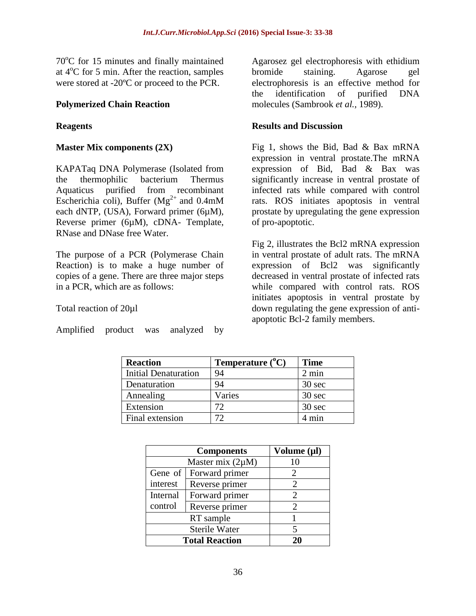$70^{\circ}$ C for 15 minutes and finally maintained at  $4^{\circ}$ C for 5 min. After the reaction, samples were stored at -20ºC or proceed to the PCR.

### **Polymerized Chain Reaction**

### **Reagents**

#### **Master Mix components (2X)**

KAPATaq DNA Polymerase (Isolated from the thermophilic bacterium Thermus Aquaticus purified from recombinant Escherichia coli), Buffer ( $Mg^{2+}$  and 0.4mM each dNTP, (USA), Forward primer (6µM), Reverse primer (6µM), cDNA- Template, RNase and DNase free Water.

The purpose of a PCR (Polymerase Chain Reaction) is to make a huge number of copies of a gene. There are three major steps in a PCR, which are as follows:

#### Total reaction of 20µl

Amplified product was analyzed by

Agarosez gel electrophoresis with ethidium bromide staining. Agarose gel electrophoresis is an effective method for the identification of purified DNA molecules (Sambrook *et al.,* 1989).

#### **Results and Discussion**

Fig 1, shows the Bid, Bad & Bax mRNA expression in ventral prostate.The mRNA expression of Bid, Bad & Bax was significantly increase in ventral prostate of infected rats while compared with control rats. ROS initiates apoptosis in ventral prostate by upregulating the gene expression of pro-apoptotic.

Fig 2, illustrates the Bcl2 mRNA expression in ventral prostate of adult rats. The mRNA expression of Bcl2 was significantly decreased in ventral prostate of infected rats while compared with control rats. ROS initiates apoptosis in ventral prostate by down regulating the gene expression of antiapoptotic Bcl-2 family members.

| <b>Reaction</b>             | Temperature $(^{\circ}C)$ | <b>Time</b>     |
|-----------------------------|---------------------------|-----------------|
| <b>Initial Denaturation</b> | 94                        | $2 \text{ min}$ |
| Denaturation                | 94                        | 30 sec          |
| Annealing                   | Varies                    | 30 sec          |
| Extension                   |                           | 30 sec          |
| Final extension             | 70                        | 4 min           |

| <b>Components</b>     |                | Volume $(\mu l)$      |
|-----------------------|----------------|-----------------------|
| Master mix $(2\mu M)$ |                | 10                    |
| Gene of               | Forward primer | 2                     |
| interest              | Reverse primer | 2                     |
| Internal              | Forward primer | 2                     |
| control               | Reverse primer | $\mathcal{D}_{\cdot}$ |
| RT sample             |                |                       |
| <b>Sterile Water</b>  |                | 5                     |
| <b>Total Reaction</b> |                | 20                    |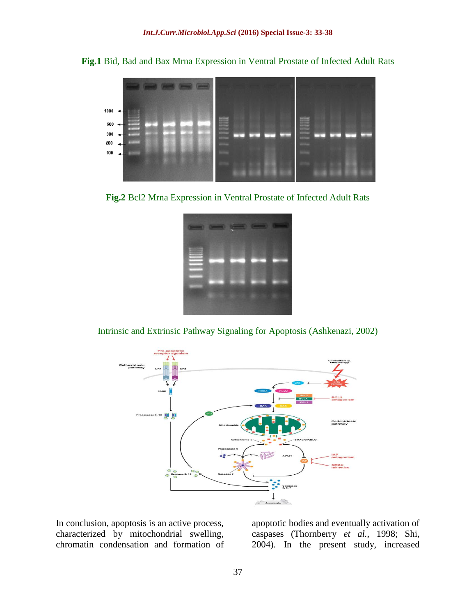**Fig.1** Bid, Bad and Bax Mrna Expression in Ventral Prostate of Infected Adult Rats



**Fig.2** Bcl2 Mrna Expression in Ventral Prostate of Infected Adult Rats



Intrinsic and Extrinsic Pathway Signaling for Apoptosis (Ashkenazi, 2002)



In conclusion, apoptosis is an active process, characterized by mitochondrial swelling, chromatin condensation and formation of

apoptotic bodies and eventually activation of caspases (Thornberry *et al.*, 1998; Shi, 2004). In the present study, increased